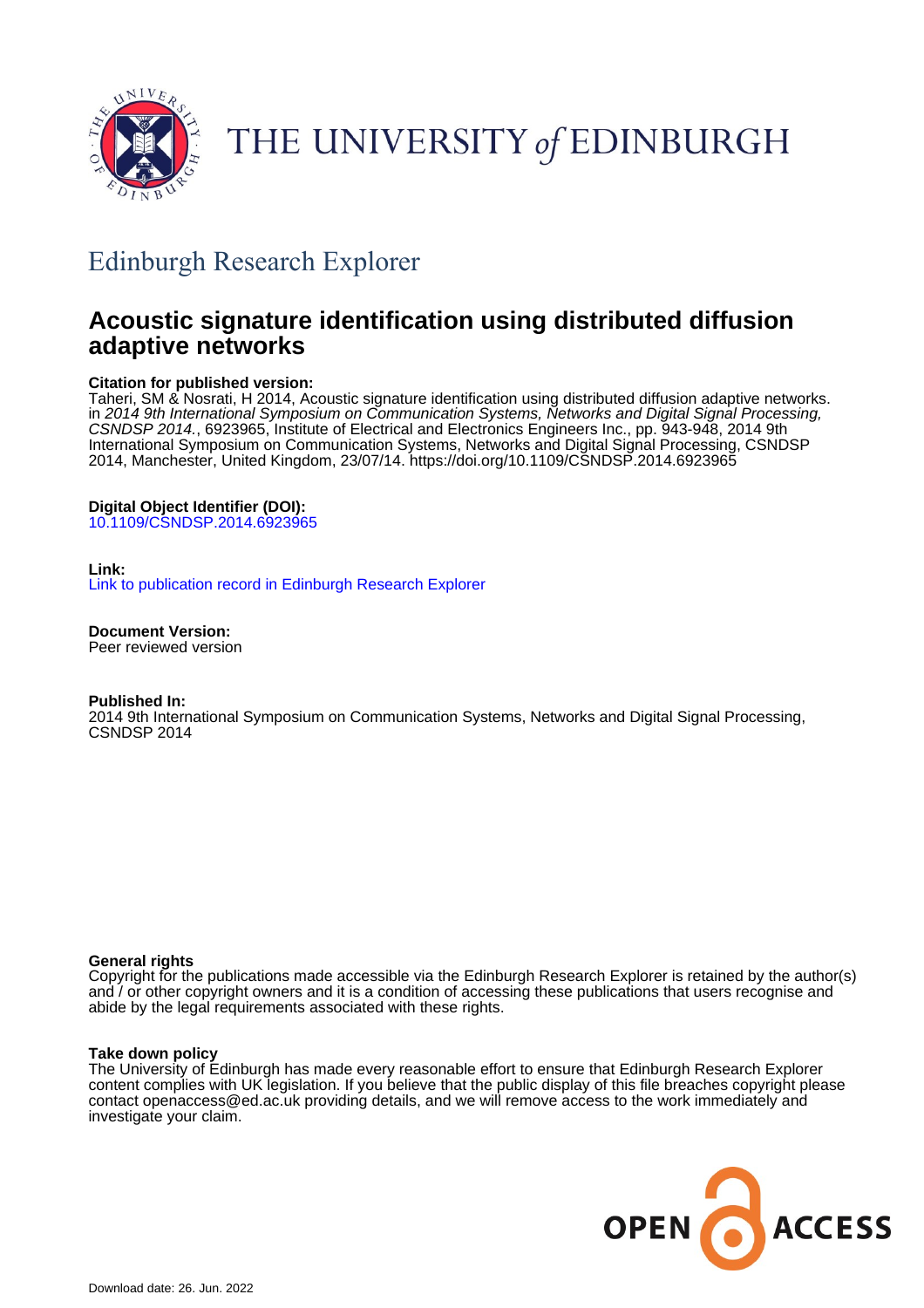

# THE UNIVERSITY of EDINBURGH

### Edinburgh Research Explorer

### **Acoustic signature identification using distributed diffusion adaptive networks**

### **Citation for published version:**

Taheri, SM & Nosrati, H 2014, Acoustic signature identification using distributed diffusion adaptive networks. in 2014 9th International Symposium on Communication Systems, Networks and Digital Signal Processing, CSNDSP 2014., 6923965, Institute of Electrical and Electronics Engineers Inc., pp. 943-948, 2014 9th International Symposium on Communication Systems, Networks and Digital Signal Processing, CSNDSP 2014, Manchester, United Kingdom, 23/07/14. <https://doi.org/10.1109/CSNDSP.2014.6923965>

### **Digital Object Identifier (DOI):**

[10.1109/CSNDSP.2014.6923965](https://doi.org/10.1109/CSNDSP.2014.6923965)

### **Link:**

[Link to publication record in Edinburgh Research Explorer](https://www.research.ed.ac.uk/en/publications/80a4db01-a56e-4362-aad4-d9c917e76226)

**Document Version:** Peer reviewed version

### **Published In:**

2014 9th International Symposium on Communication Systems, Networks and Digital Signal Processing, CSNDSP 2014

### **General rights**

Copyright for the publications made accessible via the Edinburgh Research Explorer is retained by the author(s) and / or other copyright owners and it is a condition of accessing these publications that users recognise and abide by the legal requirements associated with these rights.

### **Take down policy**

The University of Edinburgh has made every reasonable effort to ensure that Edinburgh Research Explorer content complies with UK legislation. If you believe that the public display of this file breaches copyright please contact openaccess@ed.ac.uk providing details, and we will remove access to the work immediately and investigate your claim.

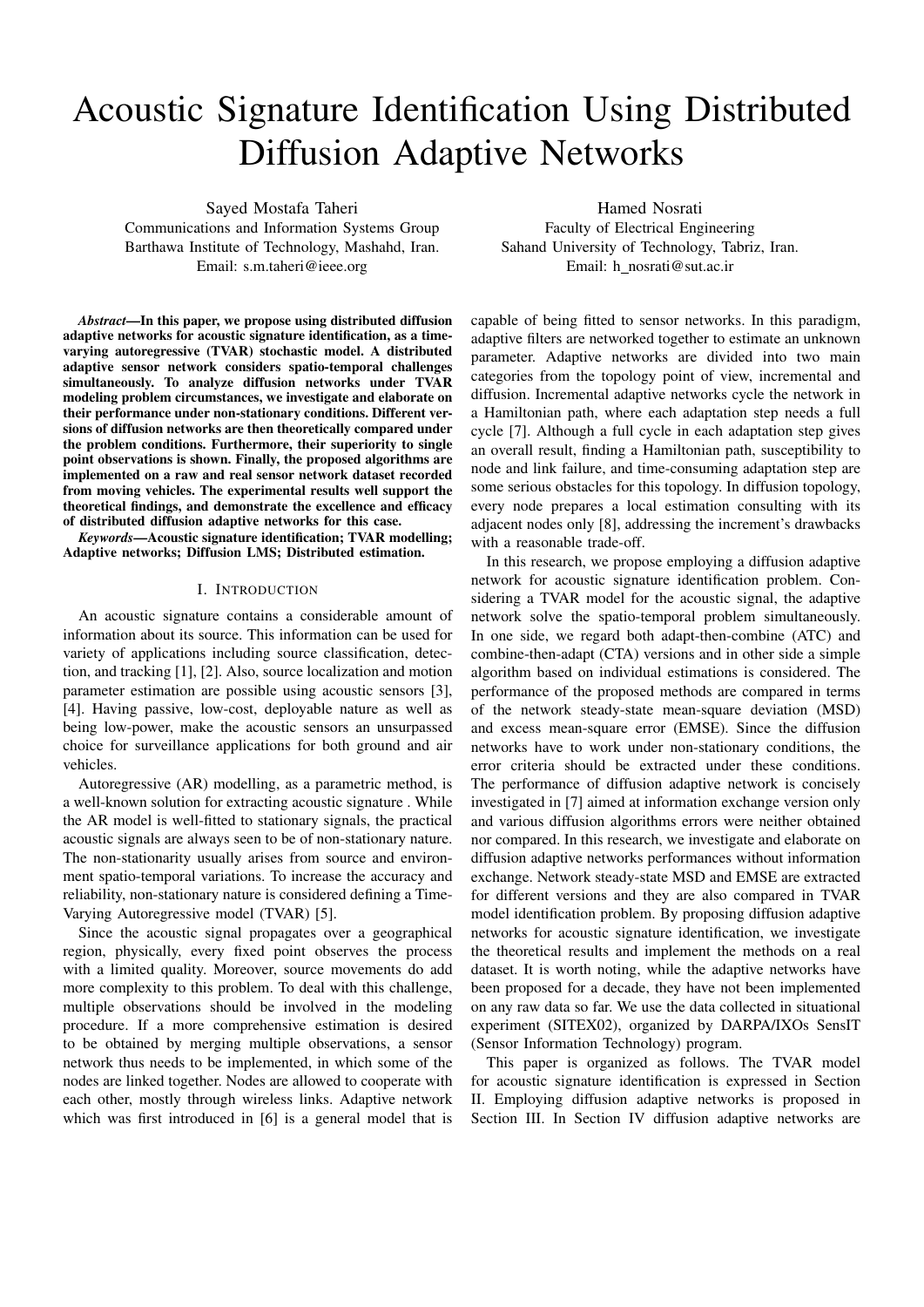## Acoustic Signature Identification Using Distributed Diffusion Adaptive Networks

Sayed Mostafa Taheri Communications and Information Systems Group Barthawa Institute of Technology, Mashahd, Iran. Email: s.m.taheri@ieee.org

*Abstract*—In this paper, we propose using distributed diffusion adaptive networks for acoustic signature identification, as a timevarying autoregressive (TVAR) stochastic model. A distributed adaptive sensor network considers spatio-temporal challenges simultaneously. To analyze diffusion networks under TVAR modeling problem circumstances, we investigate and elaborate on their performance under non-stationary conditions. Different versions of diffusion networks are then theoretically compared under the problem conditions. Furthermore, their superiority to single point observations is shown. Finally, the proposed algorithms are implemented on a raw and real sensor network dataset recorded from moving vehicles. The experimental results well support the theoretical findings, and demonstrate the excellence and efficacy of distributed diffusion adaptive networks for this case.

*Keywords*—Acoustic signature identification; TVAR modelling; Adaptive networks; Diffusion LMS; Distributed estimation.

### I. INTRODUCTION

An acoustic signature contains a considerable amount of information about its source. This information can be used for variety of applications including source classification, detection, and tracking [1], [2]. Also, source localization and motion parameter estimation are possible using acoustic sensors [3], [4]. Having passive, low-cost, deployable nature as well as being low-power, make the acoustic sensors an unsurpassed choice for surveillance applications for both ground and air vehicles.

Autoregressive (AR) modelling, as a parametric method, is a well-known solution for extracting acoustic signature . While the AR model is well-fitted to stationary signals, the practical acoustic signals are always seen to be of non-stationary nature. The non-stationarity usually arises from source and environment spatio-temporal variations. To increase the accuracy and reliability, non-stationary nature is considered defining a Time-Varying Autoregressive model (TVAR) [5].

Since the acoustic signal propagates over a geographical region, physically, every fixed point observes the process with a limited quality. Moreover, source movements do add more complexity to this problem. To deal with this challenge, multiple observations should be involved in the modeling procedure. If a more comprehensive estimation is desired to be obtained by merging multiple observations, a sensor network thus needs to be implemented, in which some of the nodes are linked together. Nodes are allowed to cooperate with each other, mostly through wireless links. Adaptive network which was first introduced in [6] is a general model that is

Hamed Nosrati Faculty of Electrical Engineering Sahand University of Technology, Tabriz, Iran. Email: h nosrati@sut.ac.ir

capable of being fitted to sensor networks. In this paradigm, adaptive filters are networked together to estimate an unknown parameter. Adaptive networks are divided into two main categories from the topology point of view, incremental and diffusion. Incremental adaptive networks cycle the network in a Hamiltonian path, where each adaptation step needs a full cycle [7]. Although a full cycle in each adaptation step gives an overall result, finding a Hamiltonian path, susceptibility to node and link failure, and time-consuming adaptation step are some serious obstacles for this topology. In diffusion topology, every node prepares a local estimation consulting with its adjacent nodes only [8], addressing the increment's drawbacks with a reasonable trade-off.

In this research, we propose employing a diffusion adaptive network for acoustic signature identification problem. Considering a TVAR model for the acoustic signal, the adaptive network solve the spatio-temporal problem simultaneously. In one side, we regard both adapt-then-combine (ATC) and combine-then-adapt (CTA) versions and in other side a simple algorithm based on individual estimations is considered. The performance of the proposed methods are compared in terms of the network steady-state mean-square deviation (MSD) and excess mean-square error (EMSE). Since the diffusion networks have to work under non-stationary conditions, the error criteria should be extracted under these conditions. The performance of diffusion adaptive network is concisely investigated in [7] aimed at information exchange version only and various diffusion algorithms errors were neither obtained nor compared. In this research, we investigate and elaborate on diffusion adaptive networks performances without information exchange. Network steady-state MSD and EMSE are extracted for different versions and they are also compared in TVAR model identification problem. By proposing diffusion adaptive networks for acoustic signature identification, we investigate the theoretical results and implement the methods on a real dataset. It is worth noting, while the adaptive networks have been proposed for a decade, they have not been implemented on any raw data so far. We use the data collected in situational experiment (SITEX02), organized by DARPA/IXOs SensIT (Sensor Information Technology) program.

This paper is organized as follows. The TVAR model for acoustic signature identification is expressed in Section II. Employing diffusion adaptive networks is proposed in Section III. In Section IV diffusion adaptive networks are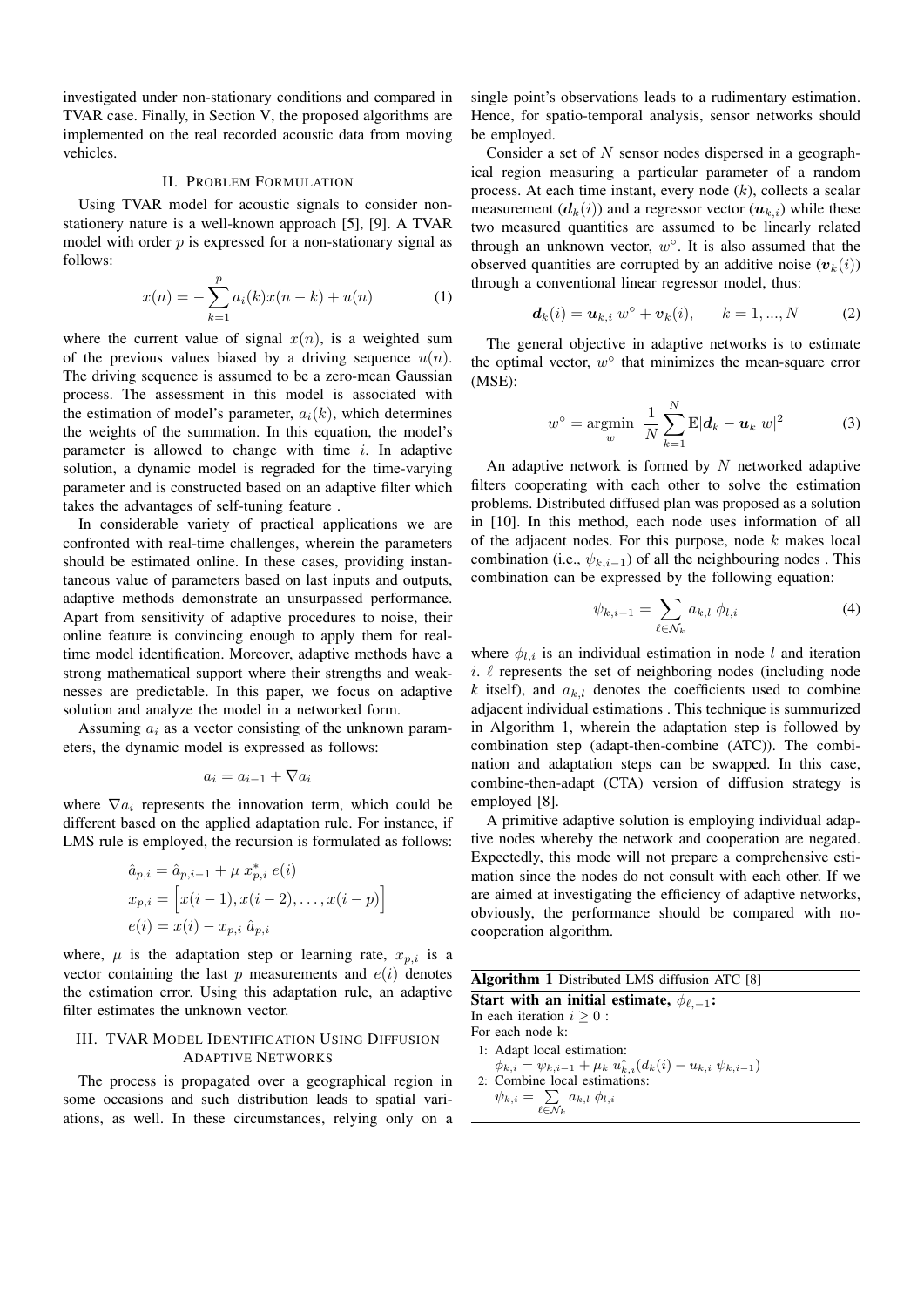investigated under non-stationary conditions and compared in TVAR case. Finally, in Section V, the proposed algorithms are implemented on the real recorded acoustic data from moving vehicles.

### II. PROBLEM FORMULATION

Using TVAR model for acoustic signals to consider nonstationery nature is a well-known approach [5], [9]. A TVAR model with order *p* is expressed for a non-stationary signal as follows:

$$
x(n) = -\sum_{k=1}^{p} a_i(k)x(n-k) + u(n)
$$
 (1)

where the current value of signal  $x(n)$ , is a weighted sum of the previous values biased by a driving sequence *u*(*n*). The driving sequence is assumed to be a zero-mean Gaussian process. The assessment in this model is associated with the estimation of model's parameter,  $a_i(k)$ , which determines the weights of the summation. In this equation, the model's parameter is allowed to change with time *i*. In adaptive solution, a dynamic model is regraded for the time-varying parameter and is constructed based on an adaptive filter which takes the advantages of self-tuning feature .

In considerable variety of practical applications we are confronted with real-time challenges, wherein the parameters should be estimated online. In these cases, providing instantaneous value of parameters based on last inputs and outputs, adaptive methods demonstrate an unsurpassed performance. Apart from sensitivity of adaptive procedures to noise, their online feature is convincing enough to apply them for realtime model identification. Moreover, adaptive methods have a strong mathematical support where their strengths and weaknesses are predictable. In this paper, we focus on adaptive solution and analyze the model in a networked form.

Assuming *a<sup>i</sup>* as a vector consisting of the unknown parameters, the dynamic model is expressed as follows:

$$
a_i = a_{i-1} + \nabla a_i
$$

where  $\nabla a_i$  represents the innovation term, which could be different based on the applied adaptation rule. For instance, if LMS rule is employed, the recursion is formulated as follows:

$$
\hat{a}_{p,i} = \hat{a}_{p,i-1} + \mu \ x_{p,i}^* \ e(i)
$$
  
\n
$$
x_{p,i} = \left[ x(i-1), x(i-2), \dots, x(i-p) \right]
$$
  
\n
$$
e(i) = x(i) - x_{p,i} \ \hat{a}_{p,i}
$$

where,  $\mu$  is the adaptation step or learning rate,  $x_{p,i}$  is a vector containing the last  $p$  measurements and  $e(i)$  denotes the estimation error. Using this adaptation rule, an adaptive filter estimates the unknown vector.

### III. TVAR MODEL IDENTIFICATION USING DIFFUSION ADAPTIVE NETWORKS

The process is propagated over a geographical region in some occasions and such distribution leads to spatial variations, as well. In these circumstances, relying only on a

single point's observations leads to a rudimentary estimation. Hence, for spatio-temporal analysis, sensor networks should be employed.

Consider a set of *N* sensor nodes dispersed in a geographical region measuring a particular parameter of a random process. At each time instant, every node (*k*), collects a scalar measurement  $(d_k(i))$  and a regressor vector  $(u_{k,i})$  while these two measured quantities are assumed to be linearly related through an unknown vector,  $w^{\circ}$ . It is also assumed that the observed quantities are corrupted by an additive noise  $(v_k(i))$ through a conventional linear regressor model, thus:

$$
d_k(i) = u_{k,i} w^{\circ} + v_k(i), \qquad k = 1, ..., N \qquad (2)
$$

The general objective in adaptive networks is to estimate the optimal vector,  $w^{\circ}$  that minimizes the mean-square error (MSE):

$$
w^{\circ} = \underset{w}{\text{argmin}} \frac{1}{N} \sum_{k=1}^{N} \mathbb{E}|\boldsymbol{d}_{k} - \boldsymbol{u}_{k} |^{2} \tag{3}
$$

An adaptive network is formed by *N* networked adaptive filters cooperating with each other to solve the estimation problems. Distributed diffused plan was proposed as a solution in [10]. In this method, each node uses information of all of the adjacent nodes. For this purpose, node *k* makes local combination (i.e.,  $\psi_{k,i-1}$ ) of all the neighbouring nodes . This combination can be expressed by the following equation:

$$
\psi_{k,i-1} = \sum_{\ell \in \mathcal{N}_k} a_{k,l} \phi_{l,i} \tag{4}
$$

where  $\phi_{l,i}$  is an individual estimation in node *l* and iteration *i*. *ℓ* represents the set of neighboring nodes (including node  $k$  itself), and  $a_{k,l}$  denotes the coefficients used to combine adjacent individual estimations . This technique is summurized in Algorithm 1, wherein the adaptation step is followed by combination step (adapt-then-combine (ATC)). The combination and adaptation steps can be swapped. In this case, combine-then-adapt (CTA) version of diffusion strategy is employed [8].

A primitive adaptive solution is employing individual adaptive nodes whereby the network and cooperation are negated. Expectedly, this mode will not prepare a comprehensive estimation since the nodes do not consult with each other. If we are aimed at investigating the efficiency of adaptive networks, obviously, the performance should be compared with nocooperation algorithm.

| <b>Algorithm 1</b> Distributed LMS diffusion ATC [8]                         |  |
|------------------------------------------------------------------------------|--|
| Start with an initial estimate, $\phi_{\ell,-1}$ :                           |  |
| In each iteration $i > 0$ :                                                  |  |
| For each node k:                                                             |  |
| 1: Adapt local estimation:                                                   |  |
| $\phi_{k,i} = \psi_{k,i-1} + \mu_k u_{k,i}^*(d_k(i) - u_{k,i} \psi_{k,i-1})$ |  |
| 2: Combine local estimations:                                                |  |
| $\psi_{k,i} = \sum a_{k,l} \phi_{l,i}$<br>$l \in N$                          |  |
|                                                                              |  |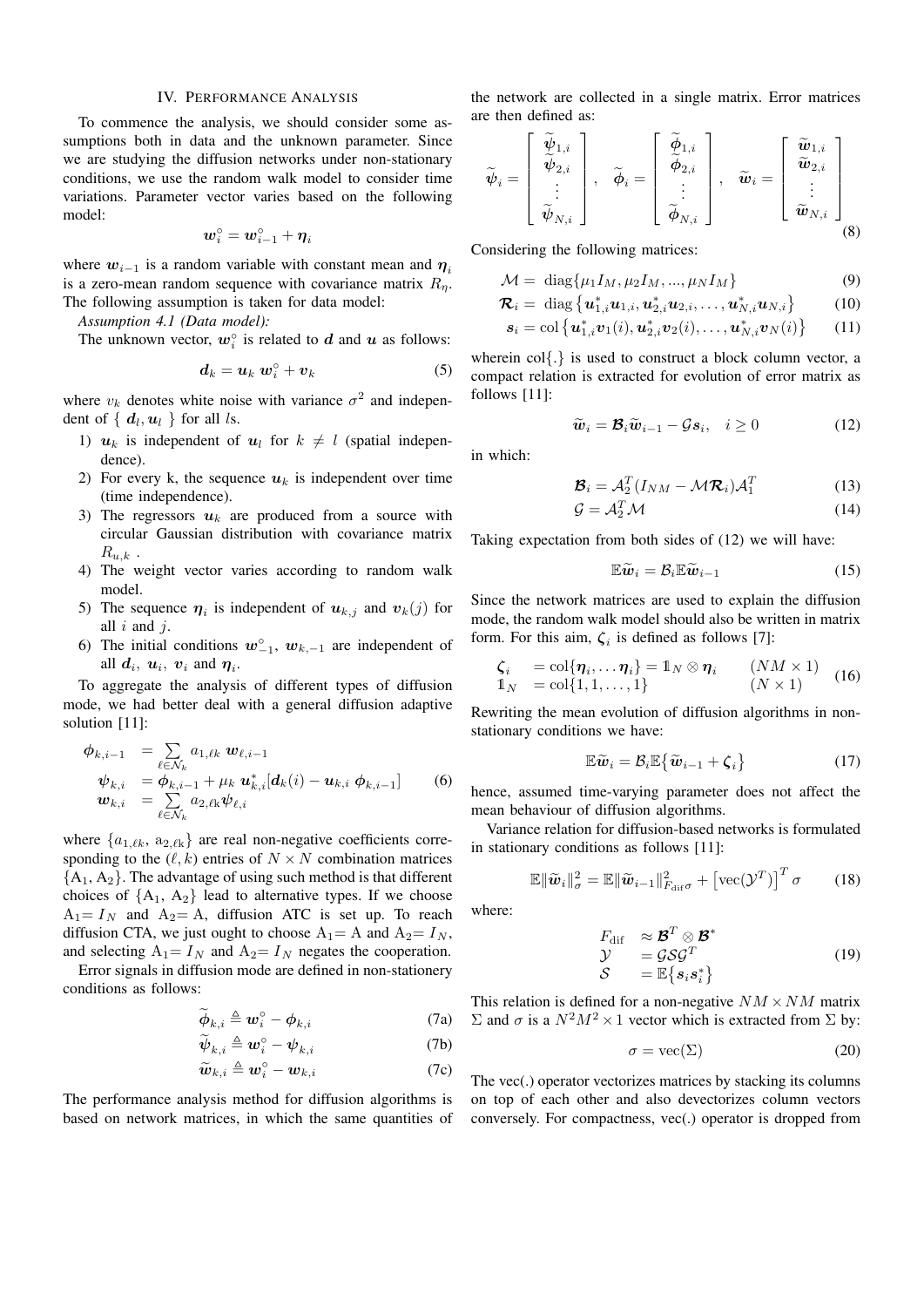### IV. PERFORMANCE ANALYSIS

To commence the analysis, we should consider some assumptions both in data and the unknown parameter. Since we are studying the diffusion networks under non-stationary conditions, we use the random walk model to consider time variations. Parameter vector varies based on the following model:

$$
\bm{w}_i^\circ = \bm{w}_{i-1}^\circ + \bm{\eta}_i
$$

where  $w_{i-1}$  is a random variable with constant mean and  $\eta_i$ is a zero-mean random sequence with covariance matrix *Rη*. The following assumption is taken for data model:

*Assumption 4.1 (Data model):*

The unknown vector,  $w_i^{\circ}$  is related to  $d$  and  $u$  as follows:

$$
\boldsymbol{d}_k = \boldsymbol{u}_k \ \boldsymbol{w}_i^{\circ} + \boldsymbol{v}_k \tag{5}
$$

where  $v_k$  denotes white noise with variance  $\sigma^2$  and independent of  $\{d_l, u_l\}$  for all *ls*.

- 1)  $u_k$  is independent of  $u_l$  for  $k \neq l$  (spatial independence).
- 2) For every k, the sequence  $u_k$  is independent over time (time independence).
- 3) The regressors  $u_k$  are produced from a source with circular Gaussian distribution with covariance matrix  $R_{u,k}$ .
- 4) The weight vector varies according to random walk model.
- 5) The sequence  $\eta_i$  is independent of  $u_{k,j}$  and  $v_k(j)$  for all *i* and *j*.
- 6) The initial conditions  $w^\circ_{-1}$ ,  $w_{k,-1}$  are independent of all  $d_i$ ,  $u_i$ ,  $v_i$  and  $\eta_i$ .

To aggregate the analysis of different types of diffusion mode, we had better deal with a general diffusion adaptive solution [11]:

$$
\begin{array}{ll}\n\phi_{k,i-1} & = \sum_{\ell \in \mathcal{N}_k} a_{1,\ell k} \, \bm{w}_{\ell,i-1} \\
\psi_{k,i} & = \phi_{k,i-1} + \mu_k \, \bm{u}_{k,i}^* [\bm{d}_k(i) - \bm{u}_{k,i} \, \phi_{k,i-1}] \\
\bm{w}_{k,i} & = \sum_{\ell \in \mathcal{N}_k} a_{2,\ell k} \psi_{\ell,i}\n\end{array} \tag{6}
$$

where  $\{a_{1,\ell k}, a_{2,\ell k}\}\$  are real non-negative coefficients corresponding to the  $(\ell, k)$  entries of  $N \times N$  combination matrices *{*A1, A2*}*. The advantage of using such method is that different choices of  ${A_1, A_2}$  lead to alternative types. If we choose  $A_1 = I_N$  and  $A_2 = A$ , diffusion ATC is set up. To reach diffusion CTA, we just ought to choose  $A_1 = A$  and  $A_2 = I_N$ , and selecting  $A_1 = I_N$  and  $A_2 = I_N$  negates the cooperation.

Error signals in diffusion mode are defined in non-stationery conditions as follows:

$$
\boldsymbol{\phi}_{k,i} \triangleq \boldsymbol{w}_i^{\circ} - \boldsymbol{\phi}_{k,i} \tag{7a}
$$

$$
\boldsymbol{\psi}_{k,i} \triangleq \boldsymbol{w}_i^{\circ} - \boldsymbol{\psi}_{k,i} \tag{7b}
$$

$$
\widetilde{\boldsymbol{w}}_{k,i} \triangleq \boldsymbol{w}_i^{\circ} - \boldsymbol{w}_{k,i} \tag{7c}
$$

The performance analysis method for diffusion algorithms is based on network matrices, in which the same quantities of

the network are collected in a single matrix. Error matrices are then defined as:

$$
\widetilde{\boldsymbol{\psi}}_i = \left[\begin{array}{c} \widetilde{\boldsymbol{\psi}}_{1,i} \\ \widetilde{\boldsymbol{\psi}}_{2,i} \\ \vdots \\ \widetilde{\boldsymbol{\psi}}_{N,i} \end{array}\right], \quad \widetilde{\boldsymbol{\phi}}_i = \left[\begin{array}{c} \widetilde{\boldsymbol{\phi}}_{1,i} \\ \widetilde{\boldsymbol{\phi}}_{2,i} \\ \vdots \\ \widetilde{\boldsymbol{\phi}}_{N,i} \end{array}\right], \quad \widetilde{\boldsymbol{w}}_i = \left[\begin{array}{c} \widetilde{\boldsymbol{w}}_{1,i} \\ \widetilde{\boldsymbol{w}}_{2,i} \\ \vdots \\ \widetilde{\boldsymbol{w}}_{N,i} \end{array}\right]
$$

Considering the following matrices:

$$
\mathcal{M} = \text{ diag}\{\mu_1 I_M, \mu_2 I_M, ..., \mu_N I_M\} \tag{9}
$$

$$
\mathcal{R}_i = \text{ diag}\left\{ \boldsymbol{u}_{1,i}^* \boldsymbol{u}_{1,i}, \boldsymbol{u}_{2,i}^* \boldsymbol{u}_{2,i}, \dots, \boldsymbol{u}_{N,i}^* \boldsymbol{u}_{N,i} \right\} \qquad (10)
$$

$$
\boldsymbol{s}_i = \text{col}\left\{ \boldsymbol{u}_{1,i}^* \boldsymbol{v}_1(i), \boldsymbol{u}_{2,i}^* \boldsymbol{v}_2(i), \dots, \boldsymbol{u}_{N,i}^* \boldsymbol{v}_N(i) \right\} \qquad (11)
$$

wherein col*{*.*}* is used to construct a block column vector, a compact relation is extracted for evolution of error matrix as follows [11]:

$$
\widetilde{\boldsymbol{w}}_i = \boldsymbol{\mathcal{B}}_i \widetilde{\boldsymbol{w}}_{i-1} - \mathcal{G} \boldsymbol{s}_i, \quad i \ge 0 \tag{12}
$$

in which:

$$
\mathbf{B}_i = \mathcal{A}_2^T (I_{NM} - \mathcal{M}\mathcal{R}_i) \mathcal{A}_1^T
$$
 (13)

$$
\mathcal{G} = \mathcal{A}_2^T \mathcal{M} \tag{14}
$$

Taking expectation from both sides of (12) we will have:

$$
\mathbb{E}\widetilde{\boldsymbol{w}}_i = \mathcal{B}_i \mathbb{E}\widetilde{\boldsymbol{w}}_{i-1} \tag{15}
$$

Since the network matrices are used to explain the diffusion mode, the random walk model should also be written in matrix form. For this aim,  $\zeta_i$  is defined as follows [7]:

$$
\begin{array}{ll}\n\boldsymbol{\zeta}_i &= \text{col}\{\boldsymbol{\eta}_i, \dots \boldsymbol{\eta}_i\} = \mathbb{1}_N \otimes \boldsymbol{\eta}_i & (NM \times 1) \\
\mathbb{1}_N &= \text{col}\{1, 1, \dots, 1\} & (N \times 1)\n\end{array} \tag{16}
$$

Rewriting the mean evolution of diffusion algorithms in nonstationary conditions we have:

$$
\mathbb{E}\widetilde{\boldsymbol{w}}_i = \mathcal{B}_i \mathbb{E}\left\{\widetilde{\boldsymbol{w}}_{i-1} + \boldsymbol{\zeta}_i\right\} \tag{17}
$$

hence, assumed time-varying parameter does not affect the mean behaviour of diffusion algorithms.

Variance relation for diffusion-based networks is formulated in stationary conditions as follows [11]:

$$
\mathbb{E} \|\widetilde{\boldsymbol{w}}_i\|_{\sigma}^2 = \mathbb{E} \|\widetilde{\boldsymbol{w}}_{i-1}\|_{F_{\text{diff}}}^2 + \left[\text{vec}(\mathcal{Y}^T)\right]^T \sigma \qquad (18)
$$

where:

$$
F_{\text{dif}}^{F} \approx \mathcal{B}^{T} \otimes \mathcal{B}^{*}
$$
  
\n
$$
\mathcal{Y} = \mathcal{G} \mathcal{S} \mathcal{G}^{T}
$$
  
\n
$$
\mathcal{S} = \mathbb{E}\left\{s_{i}s_{i}^{*}\right\}
$$
\n(19)

This relation is defined for a non-negative  $NM \times NM$  matrix  $\Sigma$  and *σ* is a  $N^2M^2 \times 1$  vector which is extracted from  $\Sigma$  by:

$$
\sigma = \text{vec}(\Sigma) \tag{20}
$$

The vec(.) operator vectorizes matrices by stacking its columns on top of each other and also devectorizes column vectors conversely. For compactness, vec(.) operator is dropped from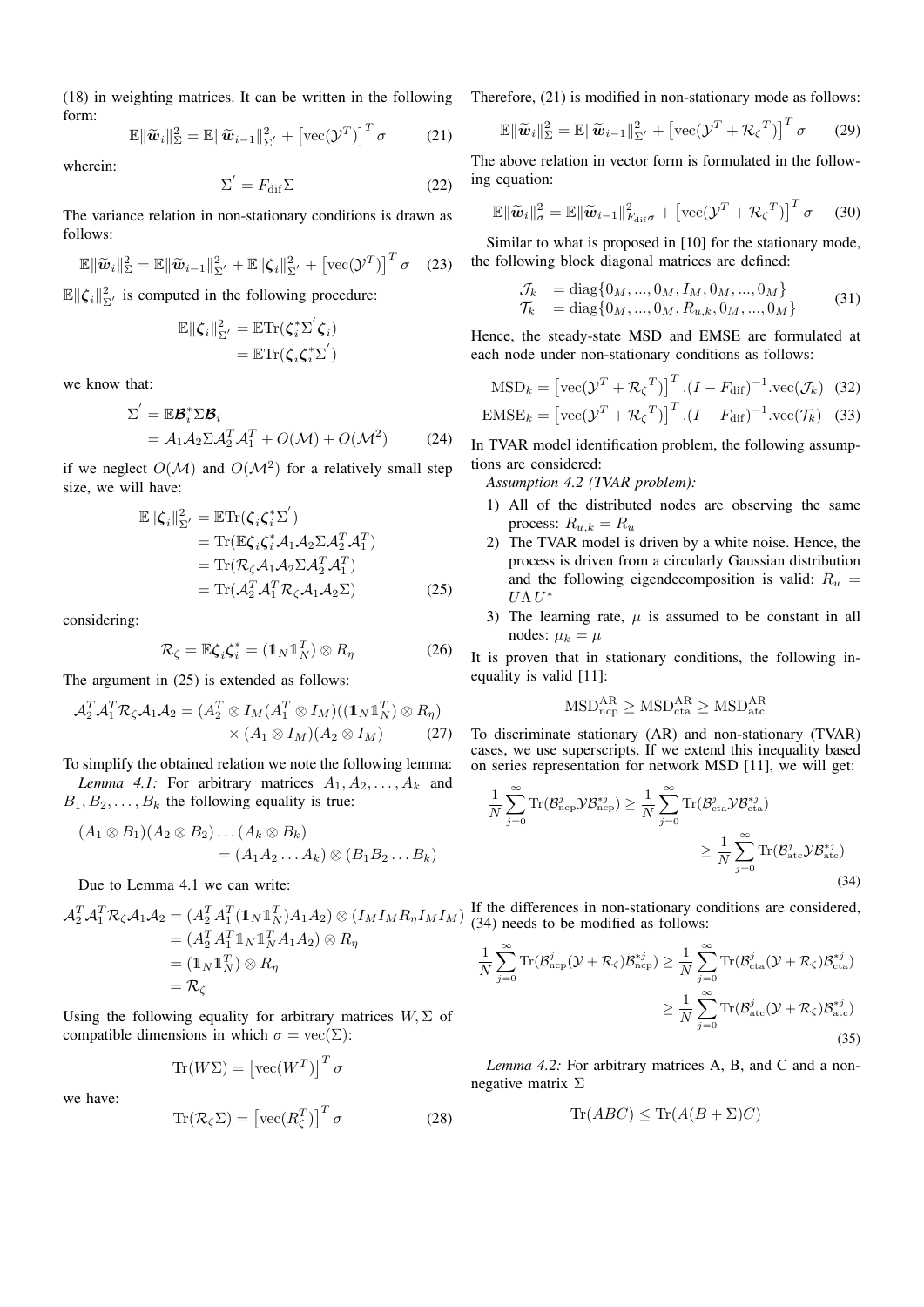(18) in weighting matrices. It can be written in the following form:

$$
\mathbb{E} \|\widetilde{\boldsymbol{w}}_i\|_{\Sigma}^2 = \mathbb{E} \|\widetilde{\boldsymbol{w}}_{i-1}\|_{\Sigma'}^2 + \left[\text{vec}(\mathcal{Y}^T)\right]^T \sigma \tag{21}
$$

wherein:

$$
\Sigma' = F_{\text{dif}} \Sigma \tag{22}
$$

The variance relation in non-stationary conditions is drawn as follows:

$$
\mathbb{E} \|\widetilde{\boldsymbol{w}}_i\|_{\Sigma}^2 = \mathbb{E} \|\widetilde{\boldsymbol{w}}_{i-1}\|_{\Sigma'}^2 + \mathbb{E} \|\boldsymbol{\zeta}_i\|_{\Sigma'}^2 + \left[\text{vec}(\mathcal{Y}^T)\right]^T \sigma \quad (23)
$$

 $\mathbb{E} \|\boldsymbol{\zeta}_i\|_{\boldsymbol{\Sigma}'}^2$  is computed in the following procedure:

$$
\mathbb{E} \|\boldsymbol{\zeta}_i\|_{\boldsymbol{\Sigma}'}^2 = \mathbb{E} \text{Tr}(\boldsymbol{\zeta}_i^* \boldsymbol{\Sigma}' \boldsymbol{\zeta}_i) \n= \mathbb{E} \text{Tr}(\boldsymbol{\zeta}_i \boldsymbol{\zeta}_i^* \boldsymbol{\Sigma}')
$$

we know that:

$$
\Sigma' = \mathbb{E} \mathcal{B}_i^* \Sigma \mathcal{B}_i
$$
  
=  $A_1 A_2 \Sigma A_2^T A_1^T + O(\mathcal{M}) + O(\mathcal{M}^2)$  (24)

if we neglect  $O(\mathcal{M})$  and  $O(\mathcal{M}^2)$  for a relatively small step size, we will have:

$$
\mathbb{E}||\zeta_i||_{\Sigma'}^2 = \mathbb{E}\text{Tr}(\zeta_i\zeta_i^*\Sigma')
$$
  
= Tr( $\mathbb{E}\zeta_i\zeta_i^*A_1A_2\Sigma A_2^T A_1^T$ )  
= Tr( $\mathcal{R}_\zeta A_1A_2\Sigma A_2^T A_1^T$ )  
= Tr( $A_2^T A_1^T \mathcal{R}_\zeta A_1 A_2 \Sigma$ ) (25)

considering:

$$
\mathcal{R}_{\zeta} = \mathbb{E}\boldsymbol{\zeta}_i \boldsymbol{\zeta}_i^* = (\mathbb{1}_N \mathbb{1}_N^T) \otimes R_{\eta}
$$
 (26)

The argument in (25) is extended as follows:

$$
\mathcal{A}_2^T \mathcal{A}_1^T \mathcal{R}_{\zeta} \mathcal{A}_1 \mathcal{A}_2 = (A_2^T \otimes I_M(A_1^T \otimes I_M)((\mathbb{1}_N \mathbb{1}_N^T) \otimes R_\eta) \times (A_1 \otimes I_M)(A_2 \otimes I_M)
$$
(27)

To simplify the obtained relation we note the following lemma:

*Lemma 4.1:* For arbitrary matrices  $A_1, A_2, \ldots, A_k$  and  $B_1, B_2, \ldots, B_k$  the following equality is true:

$$
(A_1 \otimes B_1)(A_2 \otimes B_2) \dots (A_k \otimes B_k)
$$
  
=  $(A_1 A_2 \dots A_k) \otimes (B_1 B_2 \dots B_k)$ 

Due to Lemma 4.1 we can write:

$$
\mathcal{A}_2^T \mathcal{A}_1^T \mathcal{R}_{\zeta} \mathcal{A}_1 \mathcal{A}_2 = (\mathcal{A}_2^T \mathcal{A}_1^T (\mathbb{1}_N \mathbb{1}_N^T) \mathcal{A}_1 \mathcal{A}_2) \otimes (I_M I_M R_\eta I_M I_M)
$$
 if the  
\n
$$
= (\mathcal{A}_2^T \mathcal{A}_1^T \mathbb{1}_N \mathbb{1}_N^T \mathcal{A}_1 \mathcal{A}_2) \otimes R_\eta
$$
  
\n
$$
= (\mathbb{1}_N \mathbb{1}_N^T) \otimes R_\eta
$$
  
\n
$$
= \mathcal{R}_{\zeta}
$$

Using the following equality for arbitrary matrices  $W, \Sigma$  of compatible dimensions in which  $\sigma = \text{vec}(\Sigma)$ :

$$
\text{Tr}(W\Sigma) = \left[\text{vec}(W^T)\right]^T \sigma
$$

we have:

$$
\operatorname{Tr}(\mathcal{R}_{\zeta}\Sigma) = \left[\operatorname{vec}(R_{\zeta}^{T})\right]^{T} \sigma \tag{28}
$$

Therefore, (21) is modified in non-stationary mode as follows:

$$
\mathbb{E} \|\widetilde{\boldsymbol{w}}_i\|_{\Sigma}^2 = \mathbb{E} \|\widetilde{\boldsymbol{w}}_{i-1}\|_{\Sigma'}^2 + \left[\text{vec}(\mathcal{Y}^T + \mathcal{R}_{\zeta}^T)\right]^T \sigma \qquad (29)
$$

The above relation in vector form is formulated in the following equation:

$$
\mathbb{E} \|\widetilde{\boldsymbol{w}}_i\|_{\sigma}^2 = \mathbb{E} \|\widetilde{\boldsymbol{w}}_{i-1}\|_{F_{\text{diff}}}^2 + \left[\text{vec}(\mathcal{Y}^T + \mathcal{R}_{\zeta}^T)\right]^T \sigma \qquad (30)
$$

Similar to what is proposed in [10] for the stationary mode, the following block diagonal matrices are defined:

$$
\mathcal{J}_k = \text{diag}\{0_M, ..., 0_M, I_M, 0_M, ..., 0_M\}
$$
  
\n
$$
\mathcal{T}_k = \text{diag}\{0_M, ..., 0_M, R_{u,k}, 0_M, ..., 0_M\}
$$
 (31)

Hence, the steady-state MSD and EMSE are formulated at each node under non-stationary conditions as follows:

$$
\text{MSD}_k = \left[ \text{vec}(\mathcal{Y}^T + \mathcal{R}_{\zeta}^T) \right]^T . (I - F_{\text{dif}})^{-1} . \text{vec}(\mathcal{J}_k) \tag{32}
$$

$$
EMSE_k = \left[ \text{vec}(\mathcal{Y}^T + \mathcal{R}_{\zeta}^T) \right]^T . (I - F_{\text{dif}})^{-1} . \text{vec}(\mathcal{T}_k) \quad (33)
$$

In TVAR model identification problem, the following assumptions are considered:

*Assumption 4.2 (TVAR problem):*

- 1) All of the distributed nodes are observing the same process:  $R_{u,k} = R_u$
- 2) The TVAR model is driven by a white noise. Hence, the process is driven from a circularly Gaussian distribution and the following eigendecomposition is valid:  $R_u$  = *U*Λ*U ∗*
- 3) The learning rate,  $\mu$  is assumed to be constant in all nodes:  $\mu_k = \mu$

It is proven that in stationary conditions, the following inequality is valid [11]:

$$
\mathrm{MSD}_{\mathrm{ncp}}^{\mathrm{AR}} \geq \mathrm{MSD}_{\mathrm{cta}}^{\mathrm{AR}} \geq \mathrm{MSD}_{\mathrm{atc}}^{\mathrm{AR}}
$$

To discriminate stationary (AR) and non-stationary (TVAR) cases, we use superscripts. If we extend this inequality based on series representation for network MSD [11], we will get:

$$
\frac{1}{N} \sum_{j=0}^{\infty} \text{Tr}(\mathcal{B}_{\text{ncp}}^{j} \mathcal{Y} \mathcal{B}_{\text{ncp}}^{*j}) \ge \frac{1}{N} \sum_{j=0}^{\infty} \text{Tr}(\mathcal{B}_{\text{cta}}^{j} \mathcal{Y} \mathcal{B}_{\text{cta}}^{*j})
$$
\n
$$
\ge \frac{1}{N} \sum_{j=0}^{\infty} \text{Tr}(\mathcal{B}_{\text{atc}}^{j} \mathcal{Y} \mathcal{B}_{\text{atc}}^{*j})
$$
\n(34)

If the differences in non-stationary conditions are considered, needs to be modified as follows:

$$
\frac{1}{N} \sum_{j=0}^{\infty} \text{Tr}(\mathcal{B}_{\text{ncp}}^{j}(\mathcal{Y} + \mathcal{R}_{\zeta}) \mathcal{B}_{\text{ncp}}^{*j}) \geq \frac{1}{N} \sum_{j=0}^{\infty} \text{Tr}(\mathcal{B}_{\text{cta}}^{j}(\mathcal{Y} + \mathcal{R}_{\zeta}) \mathcal{B}_{\text{cta}}^{*j})
$$
\n
$$
\geq \frac{1}{N} \sum_{j=0}^{\infty} \text{Tr}(\mathcal{B}_{\text{atc}}^{j}(\mathcal{Y} + \mathcal{R}_{\zeta}) \mathcal{B}_{\text{atc}}^{*j})
$$
\n(35)

*Lemma 4.2:* For arbitrary matrices A, B, and C and a nonnegative matrix Σ

$$
\text{Tr}(ABC) \le \text{Tr}(A(B+\Sigma)C)
$$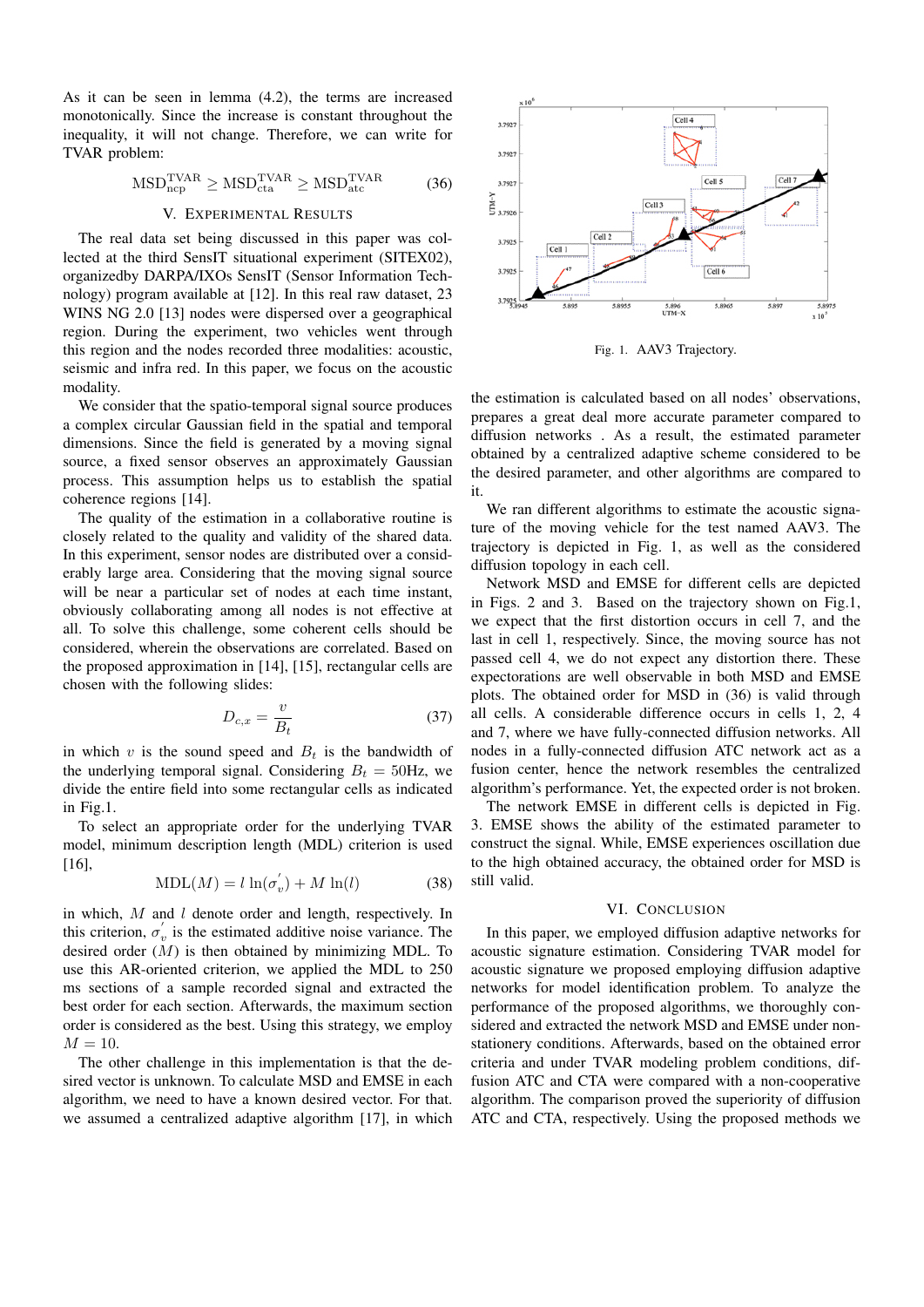As it can be seen in lemma (4.2), the terms are increased monotonically. Since the increase is constant throughout the inequality, it will not change. Therefore, we can write for TVAR problem:

$$
MSD_{\text{ncp}}^{\text{TVAR}} \ge MSD_{\text{cta}}^{\text{TVAR}} \ge MSD_{\text{atc}}^{\text{TVAR}} \tag{36}
$$

### V. EXPERIMENTAL RESULTS

The real data set being discussed in this paper was collected at the third SensIT situational experiment (SITEX02), organizedby DARPA/IXOs SensIT (Sensor Information Technology) program available at [12]. In this real raw dataset, 23 WINS NG 2.0 [13] nodes were dispersed over a geographical region. During the experiment, two vehicles went through this region and the nodes recorded three modalities: acoustic, seismic and infra red. In this paper, we focus on the acoustic modality.

We consider that the spatio-temporal signal source produces a complex circular Gaussian field in the spatial and temporal dimensions. Since the field is generated by a moving signal source, a fixed sensor observes an approximately Gaussian process. This assumption helps us to establish the spatial coherence regions [14].

The quality of the estimation in a collaborative routine is closely related to the quality and validity of the shared data. In this experiment, sensor nodes are distributed over a considerably large area. Considering that the moving signal source will be near a particular set of nodes at each time instant, obviously collaborating among all nodes is not effective at all. To solve this challenge, some coherent cells should be considered, wherein the observations are correlated. Based on the proposed approximation in [14], [15], rectangular cells are chosen with the following slides:

$$
D_{c,x} = \frac{v}{B_t} \tag{37}
$$

in which  $v$  is the sound speed and  $B_t$  is the bandwidth of the underlying temporal signal. Considering  $B_t = 50$ Hz, we divide the entire field into some rectangular cells as indicated in Fig.1.

To select an appropriate order for the underlying TVAR model, minimum description length (MDL) criterion is used [16],

$$
MDL(M) = l \ln(\sigma'_v) + M \ln(l)
$$
 (38)

in which, *M* and *l* denote order and length, respectively. In this criterion,  $\sigma'_v$  is the estimated additive noise variance. The desired order (*M*) is then obtained by minimizing MDL. To use this AR-oriented criterion, we applied the MDL to 250 ms sections of a sample recorded signal and extracted the best order for each section. Afterwards, the maximum section order is considered as the best. Using this strategy, we employ  $M = 10$ .

The other challenge in this implementation is that the desired vector is unknown. To calculate MSD and EMSE in each algorithm, we need to have a known desired vector. For that. we assumed a centralized adaptive algorithm [17], in which



Fig. 1. AAV3 Trajectory.

the estimation is calculated based on all nodes' observations, prepares a great deal more accurate parameter compared to diffusion networks . As a result, the estimated parameter obtained by a centralized adaptive scheme considered to be the desired parameter, and other algorithms are compared to it.

We ran different algorithms to estimate the acoustic signature of the moving vehicle for the test named AAV3. The trajectory is depicted in Fig. 1, as well as the considered diffusion topology in each cell.

Network MSD and EMSE for different cells are depicted in Figs. 2 and 3. Based on the trajectory shown on Fig.1, we expect that the first distortion occurs in cell 7, and the last in cell 1, respectively. Since, the moving source has not passed cell 4, we do not expect any distortion there. These expectorations are well observable in both MSD and EMSE plots. The obtained order for MSD in (36) is valid through all cells. A considerable difference occurs in cells 1, 2, 4 and 7, where we have fully-connected diffusion networks. All nodes in a fully-connected diffusion ATC network act as a fusion center, hence the network resembles the centralized algorithm's performance. Yet, the expected order is not broken.

The network EMSE in different cells is depicted in Fig. 3. EMSE shows the ability of the estimated parameter to construct the signal. While, EMSE experiences oscillation due to the high obtained accuracy, the obtained order for MSD is still valid.

#### VI. CONCLUSION

In this paper, we employed diffusion adaptive networks for acoustic signature estimation. Considering TVAR model for acoustic signature we proposed employing diffusion adaptive networks for model identification problem. To analyze the performance of the proposed algorithms, we thoroughly considered and extracted the network MSD and EMSE under nonstationery conditions. Afterwards, based on the obtained error criteria and under TVAR modeling problem conditions, diffusion ATC and CTA were compared with a non-cooperative algorithm. The comparison proved the superiority of diffusion ATC and CTA, respectively. Using the proposed methods we